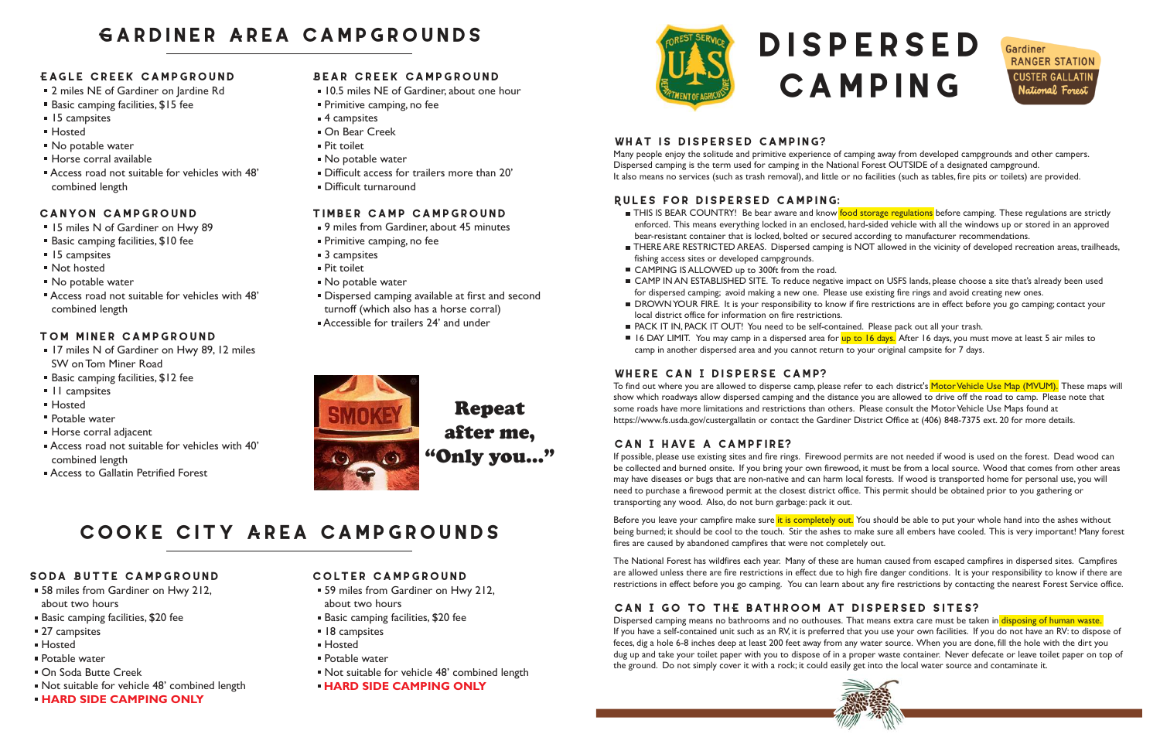#### **Colter Campground**

- 59 miles from Gardiner on Hwy 212, about two hours
- **Basic camping facilities, \$20 fee**
- **18 campsites**
- Hosted
- Potable water
- Not suitable for vehicle 48' combined length

#### **HARD SIDE CAMPING ONLY**



#### **Soda Butte Campground**

- 58 miles from Gardiner on Hwy 212, about two hours
- Basic camping facilities, \$20 fee
- 27 campsites
- Hosted
- Potable water
- On Soda Butte Creek
- Not suitable for vehicle 48' combined length
- **HARD SIDE CAMPING ONLY**
- 2 miles NE of Gardiner on lardine Rd
- Basic camping facilities, \$15 fee
- **15** campsites
- Hosted
- No potable water
- Horse corral available
- Access road not suitable for vehicles with 48' combined length

- 15 miles N of Gardiner on Hwy 89
- Basic camping facilities, \$10 fee
- **15** campsites
- Not hosted
- No potable water
- Access road not suitable for vehicles with 48' combined length

#### **Eagle Creek Campground**

#### **Canyon Campground**

- **10.5 miles NE of Gardiner, about one hour**
- **Primitive camping, no fee**
- 4 campsites
- **On Bear Creek**
- Pit toilet
- No potable water
- Difficult access for trailers more than 20'
- Difficult turnaround

- 9 miles from Gardiner, about 45 minutes
- **Primitive camping, no fee**
- 3 campsites
- Pit toilet
- No potable water
- Dispersed camping available at first and second turnoff (which also has a horse corral)
- Accessible for trailers 24' and under



#### **Tom Miner Campground**

- **17 miles N of Gardiner on Hwy 89, 12 miles** SW on Tom Miner Road
- Basic camping facilities, \$12 fee
- II campsites
- Hosted
- Potable water
- Horse corral adjacent
- Access road not suitable for vehicles with 40' combined length
- **Access to Gallatin Petrified Forest.**

# **Gardiner Area Campgrounds**

**THIS IS BEAR COUNTRY!** Be bear aware and know food storage regulations before camping. These regulations are strictly enforced. This means everything locked in an enclosed, hard-sided vehicle with all the windows up or stored in an approved

#### **Bear Creek Campground**

 CAMP IN AN ESTABLISHED SITE. To reduce negative impact on USFS lands, please choose a site that's already been used DROWN YOUR FIRE. It is your responsibility to know if fire restrictions are in effect before you go camping; contact your

■ 16 DAY LIMIT. You may camp in a dispersed area for up to 16 days. After 16 days, you must move at least 5 air miles to

#### **Timber Camp Campground**

Repeat after me, "Only you..."

# **Cooke City Area Campgrounds**

# **Dispersed Camping**



#### **What is dispersed camping?**

Many people enjoy the solitude and primitive experience of camping away from developed campgrounds and other campers. Dispersed camping is the term used for camping in the National Forest OUTSIDE of a designated campground. It also means no services (such as trash removal), and little or no facilities (such as tables, fire pits or toilets) are provided.

To find out where you are allowed to disperse camp, please refer to each district's Motor Vehicle Use Map (MVUM). These maps will show which roadways allow dispersed camping and the distance you are allowed to drive off the road to camp. Please note that some roads have more limitations and restrictions than others. Please consult the Motor Vehicle Use Maps found at https://www.fs.usda.gov/custergallatin or contact the Gardiner District Office at (406) 848-7375 ext. 20 for more details.

#### **Rules for dispersed camping:**

Before you leave your campfire make sure it is completely out. You should be able to put your whole hand into the ashes without being burned; it should be cool to the touch. Stir the ashes to make sure all embers have cooled. This is very important! Many forest fires are caused by abandoned campfires that were not completely out.

THERE ARE RESTRICTED AREAS. Dispersed camping is NOT allowed in the vicinity of developed recreation areas, trailheads,

- bear-resistant container that is locked, bolted or secured according to manufacturer recommendations.
- fishing access sites or developed campgrounds.
- CAMPING IS ALLOWED up to 300ft from the road.
- for dispersed camping; avoid making a new one. Please use existing fire rings and avoid creating new ones.
- local district office for information on fire restrictions.
- PACK IT IN, PACK IT OUT! You need to be self-contained. Please pack out all your trash.
- camp in another dispersed area and you cannot return to your original campsite for 7 days.

Dispersed camping means no bathrooms and no outhouses. That means extra care must be taken in disposing of human waste. If you have a self-contained unit such as an RV, it is preferred that you use your own facilities. If you do not have an RV: to dispose of feces, dig a hole 6-8 inches deep at least 200 feet away from any water source. When you are done, fill the hole with the dirt you dug up and take your toilet paper with you to dispose of in a proper waste container. Never defecate or leave toilet paper on top of the ground. Do not simply cover it with a rock; it could easily get into the local water source and contaminate it.





#### **Where can I disperse camp?**

#### **Can I have a campfire?**

If possible, please use existing sites and fire rings. Firewood permits are not needed if wood is used on the forest. Dead wood can be collected and burned onsite. If you bring your own firewood, it must be from a local source. Wood that comes from other areas may have diseases or bugs that are non-native and can harm local forests. If wood is transported home for personal use, you will need to purchase a firewood permit at the closest district office. This permit should be obtained prior to you gathering or transporting any wood. Also, do not burn garbage: pack it out.

The National Forest has wildfires each year. Many of these are human caused from escaped campfires in dispersed sites. Campfires are allowed unless there are fire restrictions in effect due to high fire danger conditions. It is your responsibility to know if there are restrictions in effect before you go camping. You can learn about any fire restrictions by contacting the nearest Forest Service office.

### **Can I go to thE bathroom at dispersed sites?**